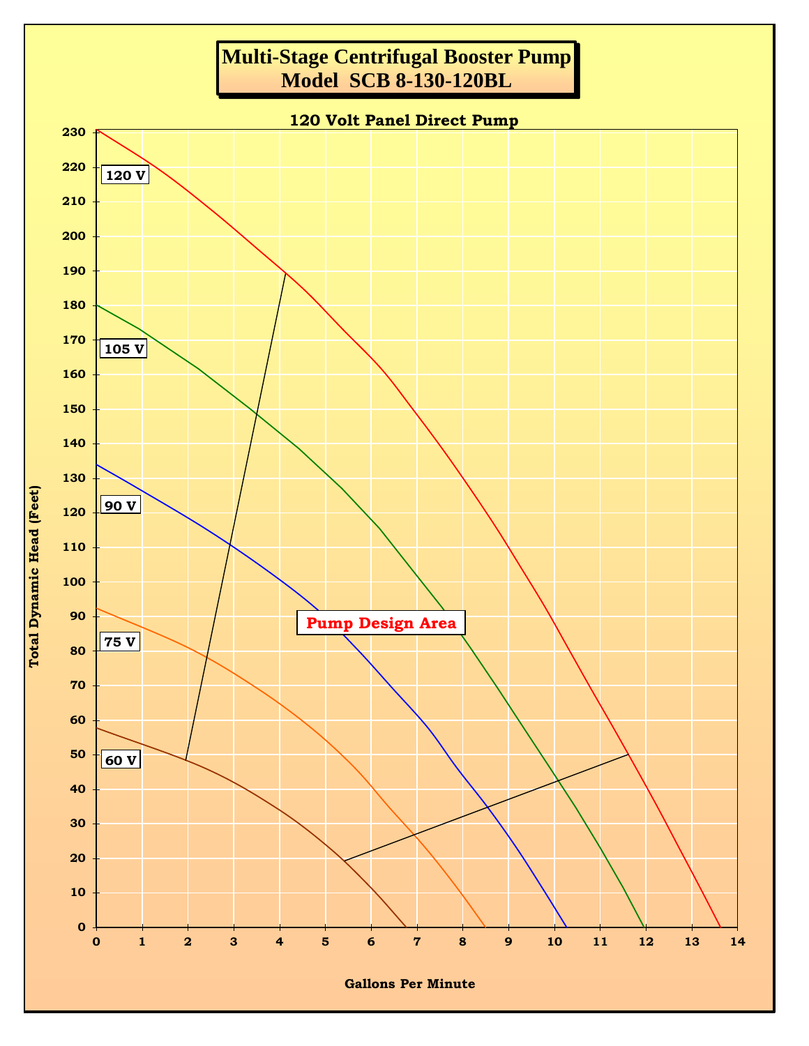